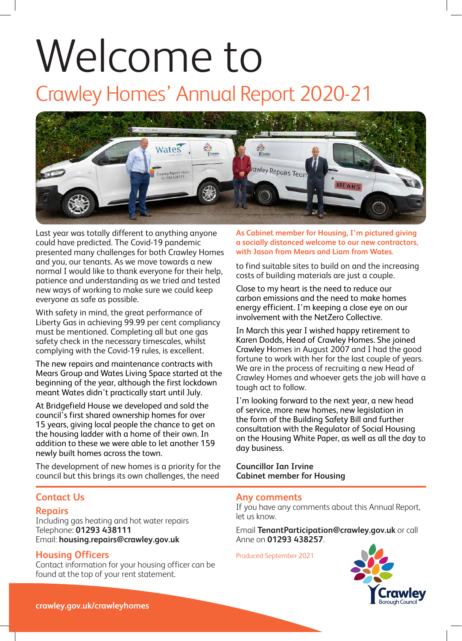# Welcome to

## Crawley Homes' Annual Report 2020-21



Last year was totally different to anything anyone could have predicted. The Covid-19 pandemic presented many challenges for both Crawley Homes and you, our tenants. As we move towards a new normal I would like to thank everyone for their help, patience and understanding as we tried and tested new ways of working to make sure we could keep everyone as safe as possible.

With safety in mind, the great performance of Liberty Gas in achieving 99.99 per cent compliancy must be mentioned. Completing all but one gas safety check in the necessary timescales, whilst complying with the Covid-19 rules, is excellent.

The new repairs and maintenance contracts with Mears Group and Wates Living Space started at the beginning of the year, although the first lockdown meant Wates didn't practically start until July.

At Bridgefield House we developed and sold the council's first shared ownership homes for over 15 years, giving local people the chance to get on the housing ladder with a home of their own. In addition to these we were able to let another 159 newly built homes across the town.

The development of new homes is a priority for the council but this brings its own challenges, the need

#### **Contact Us**

#### **Repairs**

Including gas heating and hot water repairs Telephone: **01293 438111** Email: **housing.repairs@crawley.gov.uk**

#### **Housing Officers**

Contact information for your housing officer can be found at the top of your rent statement.

#### **As Cabinet member for Housing, I'm pictured giving a socially distanced welcome to our new contractors, with Jason from Mears and Liam from Wates.**

to find suitable sites to build on and the increasing costs of building materials are just a couple.

Close to my heart is the need to reduce our carbon emissions and the need to make homes energy efficient. I'm keeping a close eye on our involvement with the NetZero Collective.

In March this year I wished happy retirement to Karen Dodds, Head of Crawley Homes. She joined Crawley Homes in August 2007 and I had the good fortune to work with her for the last couple of years. We are in the process of recruiting a new Head of Crawley Homes and whoever gets the job will have a tough act to follow.

I'm looking forward to the next year, a new head of service, more new homes, new legislation in the form of the Building Safety Bill and further consultation with the Regulator of Social Housing on the Housing White Paper, as well as all the day to day business.

**Councillor Ian Irvine Cabinet member for Housing**

#### **Any comments**

If you have any comments about this Annual Report, let us know.

Email **TenantParticipation@crawley.gov.uk** or call Anne on **01293 438257**.

Produced September 2021

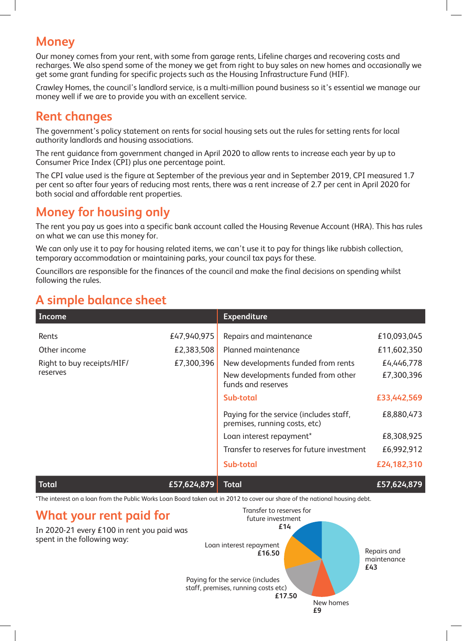## **Money**

Our money comes from your rent, with some from garage rents, Lifeline charges and recovering costs and recharges. We also spend some of the money we get from right to buy sales on new homes and occasionally we get some grant funding for specific projects such as the Housing Infrastructure Fund (HIF).

Crawley Homes, the council's landlord service, is a multi-million pound business so it's essential we manage our money well if we are to provide you with an excellent service.

## **Rent changes**

The government's policy statement on rents for social housing sets out the rules for setting rents for local authority landlords and housing associations.

The rent guidance from government changed in April 2020 to allow rents to increase each year by up to Consumer Price Index (CPI) plus one percentage point.

The CPI value used is the figure at September of the previous year and in September 2019, CPI measured 1.7 per cent so after four years of reducing most rents, there was a rent increase of 2.7 per cent in April 2020 for both social and affordable rent properties.

## **Money for housing only**

The rent you pay us goes into a specific bank account called the Housing Revenue Account (HRA). This has rules on what we can use this money for.

We can only use it to pay for housing related items, we can't use it to pay for things like rubbish collection, temporary accommodation or maintaining parks, your council tax pays for these.

Councillors are responsible for the finances of the council and make the final decisions on spending whilst following the rules.

## **A simple balance sheet**

| Income                                 |                           | <b>Expenditure</b>                                                                             |                            |
|----------------------------------------|---------------------------|------------------------------------------------------------------------------------------------|----------------------------|
| Rents<br>Other income                  | £47,940,975<br>£2,383,508 | Repairs and maintenance<br>Planned maintenance                                                 | £10,093,045<br>£11,602,350 |
| Right to buy receipts/HIF/<br>reserves | £7,300,396                | New developments funded from rents<br>New developments funded from other<br>funds and reserves | £4,446,778<br>£7,300,396   |
|                                        |                           | Sub-total                                                                                      | £33,442,569                |
|                                        |                           | Paying for the service (includes staff,<br>premises, running costs, etc)                       | £8,880,473                 |
|                                        |                           | Loan interest repayment*                                                                       | £8,308,925                 |
|                                        |                           | Transfer to reserves for future investment                                                     | £6,992,912                 |
|                                        |                           | Sub-total                                                                                      | £24,182,310                |
|                                        |                           |                                                                                                |                            |

**Total £57,624,879 Total £57,624,879**

\*The interest on a loan from the Public Works Loan Board taken out in 2012 to cover our share of the national housing debt.

## **What your rent paid for**

In 2020-21 every £100 in rent you paid was

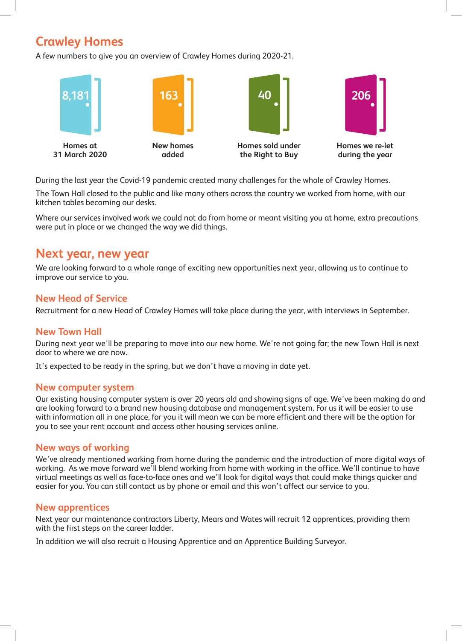## **Crawley Homes**

A few numbers to give you an overview of Crawley Homes during 2020-21.



During the last year the Covid-19 pandemic created many challenges for the whole of Crawley Homes.

The Town Hall closed to the public and like many others across the country we worked from home, with our kitchen tables becoming our desks.

Where our services involved work we could not do from home or meant visiting you at home, extra precautions were put in place or we changed the way we did things.

## **Next year, new year**

We are looking forward to a whole range of exciting new opportunities next year, allowing us to continue to improve our service to you.

#### **New Head of Service**

Recruitment for a new Head of Crawley Homes will take place during the year, with interviews in September.

#### **New Town Hall**

During next year we'll be preparing to move into our new home. We're not going far; the new Town Hall is next door to where we are now.

It's expected to be ready in the spring, but we don't have a moving in date yet.

#### **New computer system**

Our existing housing computer system is over 20 years old and showing signs of age. We've been making do and are looking forward to a brand new housing database and management system. For us it will be easier to use with information all in one place, for you it will mean we can be more efficient and there will be the option for you to see your rent account and access other housing services online.

#### **New ways of working**

We've already mentioned working from home during the pandemic and the introduction of more digital ways of working. As we move forward we'll blend working from home with working in the office. We'll continue to have virtual meetings as well as face-to-face ones and we'll look for digital ways that could make things quicker and easier for you. You can still contact us by phone or email and this won't affect our service to you.

#### **New apprentices**

Next year our maintenance contractors Liberty, Mears and Wates will recruit 12 apprentices, providing them with the first steps on the career ladder.

In addition we will also recruit a Housing Apprentice and an Apprentice Building Surveyor.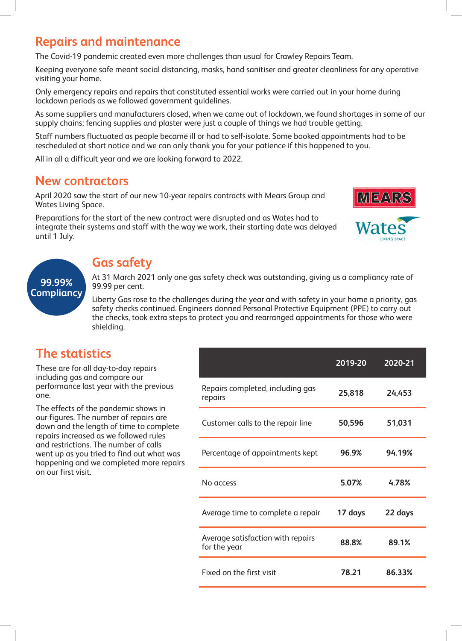## **Repairs and maintenance**

The Covid-19 pandemic created even more challenges than usual for Crawley Repairs Team.

Keeping everyone safe meant social distancing, masks, hand sanitiser and greater cleanliness for any operative visiting your home.

Only emergency repairs and repairs that constituted essential works were carried out in your home during lockdown periods as we followed government guidelines.

As some suppliers and manufacturers closed, when we came out of lockdown, we found shortages in some of our supply chains; fencing supplies and plaster were just a couple of things we had trouble getting.

Staff numbers fluctuated as people became ill or had to self-isolate. Some booked appointments had to be rescheduled at short notice and we can only thank you for your patience if this happened to you.

All in all a difficult year and we are looking forward to 2022.

### **New contractors**

April 2020 saw the start of our new 10-year repairs contracts with Mears Group and Wates Living Space.

Preparations for the start of the new contract were disrupted and as Wates had to integrate their systems and staff with the way we work, their starting date was delayed until 1 July.



## **99.99% Compliancy**

## **Gas safety**

At 31 March 2021 only one gas safety check was outstanding, giving us a compliancy rate of 99.99 per cent.

Liberty Gas rose to the challenges during the year and with safety in your home a priority, gas safety checks continued. Engineers donned Personal Protective Equipment (PPE) to carry out the checks, took extra steps to protect you and rearranged appointments for those who were shielding.

## **The statistics**

These are for all day-to-day repairs including gas and compare our performance last year with the previous one.

The effects of the pandemic shows in our figures. The number of repairs are down and the length of time to complete repairs increased as we followed rules and restrictions. The number of calls went up as you tried to find out what was happening and we completed more repairs on our first visit.

|                                                   | 2019-20 | $2020 - 21$ |
|---------------------------------------------------|---------|-------------|
| Repairs completed, including gas<br>repairs       | 25,818  | 24,453      |
| Customer calls to the repair line                 | 50,596  | 51,031      |
| Percentage of appointments kept                   | 96.9%   | 94.19%      |
| No access                                         | 5.07%   | 4.78%       |
| Average time to complete a repair                 | 17 days | 22 days     |
| Average satisfaction with repairs<br>for the year | 88.8%   | 89.1%       |
| Fixed on the first visit                          | 78.21   | 86.33%      |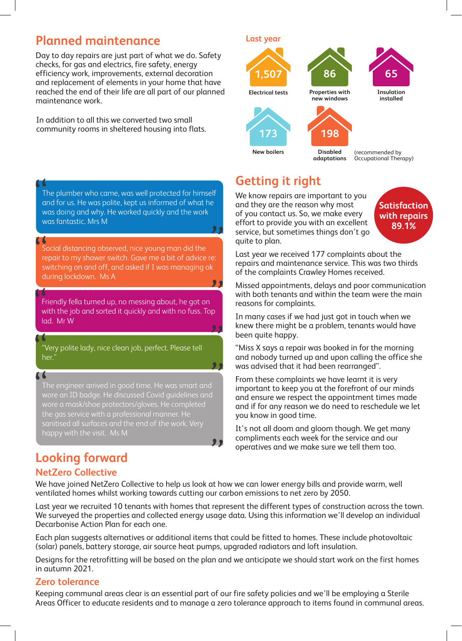## **Planned maintenance**

Day to day repairs are just part of what we do. Safety checks, for gas and electrics, fire safety, energy efficiency work, improvements, external decoration and replacement of elements in your home that have reached the end of their life are all part of our planned maintenance work.

In addition to all this we converted two small community rooms in sheltered housing into flats.

The plumber who came, was well protected for himself and for us. He was polite, kept us informed of what he was doing and why. He worked quickly and the work was fantastic. Mrs M ""

Social distancing observed, nice young man did the repair to my shower switch. Gave me a bit of advice re: switching on and off, and asked if I was managing ok during lockdown. Ms A ""

Friendly fella turned up, no messing about, he got on with the job and sorted it quickly and with no fuss. Top lad. Mr W 66 p<br>29

"Very polite lady, nice clean job, perfect. Please tell her."

The engineer arrived in good time. He was smart and wore an ID badge. He discussed Covid guidelines and wore a mask/shoe protectors/gloves. He completed the gas service with a professional manner. He sanitised all surfaces and the end of the work. Very happy with the visit. Ms M ,<br>,,

## **Looking forward**

#### **NetZero Collective**

"

"

**Last year** 

**1,507**



**198**

**Disabled** 



**Insulation installed**



**adaptations** (recommended by Occupational Therapy)

## **Getting it right**

We know repairs are important to you and they are the reason why most of you contact us. So, we make every effort to provide you with an excellent service, but sometimes things don't go quite to plan.



Last year we received 177 complaints about the repairs and maintenance service. This was two thirds of the complaints Crawley Homes received.

Missed appointments, delays and poor communication with both tenants and within the team were the main reasons for complaints.

In many cases if we had just got in touch when we knew there might be a problem, tenants would have been quite happy.

"Miss X says a repair was booked in for the morning and nobody turned up and upon calling the office she was advised that it had been rearranged".

From these complaints we have learnt it is very important to keep you at the forefront of our minds and ensure we respect the appointment times made and if for any reason we do need to reschedule we let you know in good time.

It's not all doom and gloom though. We get many compliments each week for the service and our operatives and we make sure we tell them too.

We have joined NetZero Collective to help us look at how we can lower energy bills and provide warm, well ventilated homes whilst working towards cutting our carbon emissions to net zero by 2050.

"<br>"

Last year we recruited 10 tenants with homes that represent the different types of construction across the town. We surveyed the properties and collected energy usage data. Using this information we'll develop an individual Decarbonise Action Plan for each one.

Each plan suggests alternatives or additional items that could be fitted to homes. These include photovoltaic (solar) panels, battery storage, air source heat pumps, upgraded radiators and loft insulation.

Designs for the retrofitting will be based on the plan and we anticipate we should start work on the first homes in autumn 2021.

#### **Zero tolerance**

Keeping communal areas clear is an essential part of our fire safety policies and we'll be employing a Sterile Areas Officer to educate residents and to manage a zero tolerance approach to items found in communal areas.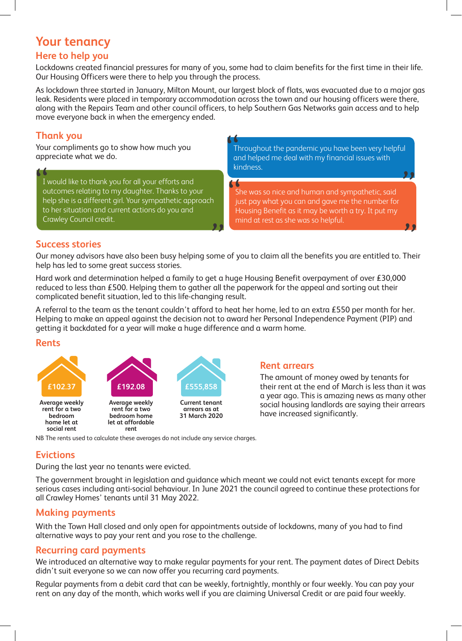## **Your tenancy**

#### **Here to help you**

Lockdowns created financial pressures for many of you, some had to claim benefits for the first time in their life. Our Housing Officers were there to help you through the process.

As lockdown three started in January, Milton Mount, our largest block of flats, was evacuated due to a major gas leak. Residents were placed in temporary accommodation across the town and our housing officers were there, along with the Repairs Team and other council officers, to help Southern Gas Networks gain access and to help move everyone back in when the emergency ended.

#### **Thank you**

Your compliments go to show how much you appreciate what we do.

I would like to thank you for all your efforts and outcomes relating to my daughter. Thanks to your help she is a different girl. Your sympathetic approach to her situation and current actions do you and Crawley Council credit. ".<br>,,

Throughout the pandemic you have been very helpful and helped me deal with my financial issues with kindness. ""<br>"

She was so nice and human and sympathetic, said just pay what you can and gave me the number for Housing Benefit as it may be worth a try. It put my mind at rest as she was so helpful. "

.<br>ول

#### **Success stories**

Our money advisors have also been busy helping some of you to claim all the benefits you are entitled to. Their help has led to some great success stories.

Hard work and determination helped a family to get a huge Housing Benefit overpayment of over £30,000 reduced to less than £500. Helping them to gather all the paperwork for the appeal and sorting out their complicated benefit situation, led to this life-changing result.

A referral to the team as the tenant couldn't afford to heat her home, led to an extra £550 per month for her. Helping to make an appeal against the decision not to award her Personal Independence Payment (PIP) and getting it backdated for a year will make a huge difference and a warm home.

#### **Rents**



#### **Rent arrears**

The amount of money owed by tenants for their rent at the end of March is less than it was a year ago. This is amazing news as many other social housing landlords are saying their arrears have increased significantly.

NB The rents used to calculate these averages do not include any service charges.

#### **Evictions**

During the last year no tenants were evicted.

The government brought in legislation and guidance which meant we could not evict tenants except for more serious cases including anti-social behaviour. In June 2021 the council agreed to continue these protections for all Crawley Homes' tenants until 31 May 2022.

#### **Making payments**

With the Town Hall closed and only open for appointments outside of lockdowns, many of you had to find alternative ways to pay your rent and you rose to the challenge.

#### **Recurring card payments**

We introduced an alternative way to make regular payments for your rent. The payment dates of Direct Debits didn't suit everyone so we can now offer you recurring card payments.

Regular payments from a debit card that can be weekly, fortnightly, monthly or four weekly. You can pay your rent on any day of the month, which works well if you are claiming Universal Credit or are paid four weekly.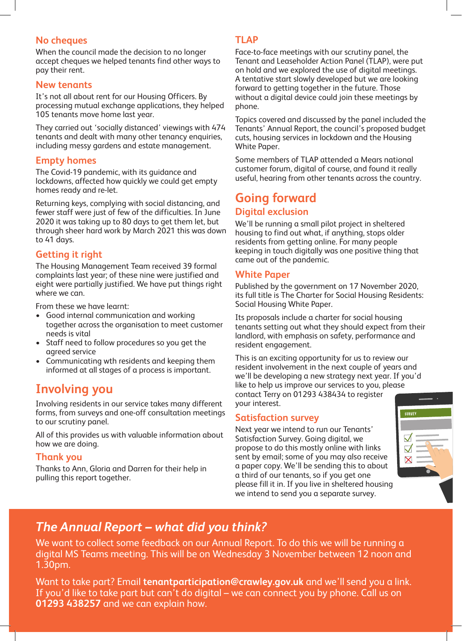#### **No cheques**

When the council made the decision to no longer accept cheques we helped tenants find other ways to pay their rent.

#### **New tenants**

It's not all about rent for our Housing Officers. By processing mutual exchange applications, they helped 105 tenants move home last year.

They carried out 'socially distanced' viewings with 474 tenants and dealt with many other tenancy enquiries, including messy gardens and estate management.

#### **Empty homes**

The Covid-19 pandemic, with its guidance and lockdowns, affected how quickly we could get empty homes ready and re-let.

Returning keys, complying with social distancing, and fewer staff were just of few of the difficulties. In June 2020 it was taking up to 80 days to get them let, but through sheer hard work by March 2021 this was down to 41 days.

#### **Getting it right**

The Housing Management Team received 39 formal complaints last year; of these nine were justified and eight were partially justified. We have put things right where we can.

From these we have learnt:

- Good internal communication and working together across the organisation to meet customer needs is vital
- Staff need to follow procedures so you get the agreed service
- Communicating wth residents and keeping them informed at all stages of a process is important.

## **Involving you**

Involving residents in our service takes many different forms, from surveys and one-off consultation meetings to our scrutiny panel.

All of this provides us with valuable information about how we are doing.

#### **Thank you**

Thanks to Ann, Gloria and Darren for their help in pulling this report together.

#### **TLAP**

Face-to-face meetings with our scrutiny panel, the Tenant and Leaseholder Action Panel (TLAP), were put on hold and we explored the use of digital meetings. A tentative start slowly developed but we are looking forward to getting together in the future. Those without a digital device could join these meetings by phone.

Topics covered and discussed by the panel included the Tenants' Annual Report, the council's proposed budget cuts, housing services in lockdown and the Housing White Paper.

Some members of TLAP attended a Mears national customer forum, digital of course, and found it really useful, hearing from other tenants across the country.

## **Going forward**

#### **Digital exclusion**

We'll be running a small pilot project in sheltered housing to find out what, if anything, stops older residents from getting online. For many people keeping in touch digitally was one positive thing that came out of the pandemic.

#### **White Paper**

Published by the government on 17 November 2020, its full title is The Charter for Social Housing Residents: Social Housing White Paper.

Its proposals include a charter for social housing tenants setting out what they should expect from their landlord, with emphasis on safety, performance and resident engagement.

This is an exciting opportunity for us to review our resident involvement in the next couple of years and we'll be developing a new strategy next year. If you'd like to help us improve our services to you, please contact Terry on 01293 438434 to register your interest.

#### **Satisfaction survey**

Next year we intend to run our Tenants' Satisfaction Survey. Going digital, we propose to do this mostly online with links sent by email; some of you may also receive a paper copy. We'll be sending this to about a third of our tenants, so if you get one please fill it in. If you live in sheltered housing we intend to send you a separate survey.



## *The Annual Report – what did you think?*

We want to collect some feedback on our Annual Report. To do this we will be running a digital MS Teams meeting. This will be on Wednesday 3 November between 12 noon and 1.30pm.

Want to take part? Email **tenantparticipation@crawley.gov.uk** and we'll send you a link. If you'd like to take part but can't do digital – we can connect you by phone. Call us on **01293 438257** and we can explain how.